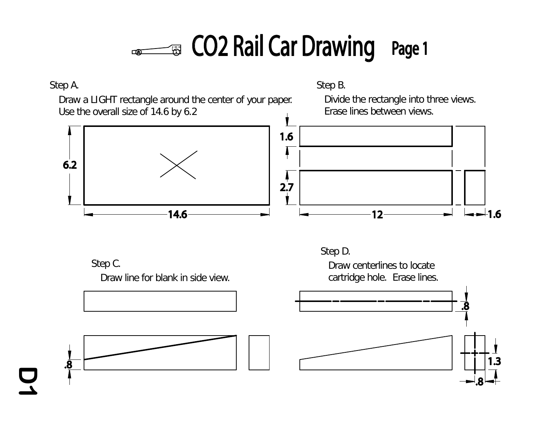### **ED** CO2 Rail Car Drawing Page 1  $\sqrt{2}$

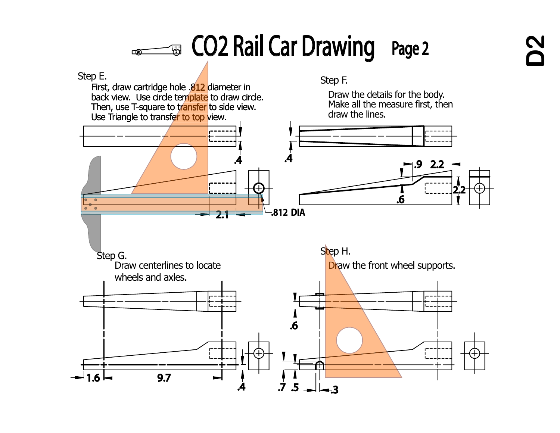## CO2 Rail Car Drawing Page 2  $\sqrt{2}$

Step E.<br>Englished in this high and the second is step F. First, draw cartridge hole .<mark>812</mark> diameter in back view. Use circle tem<mark>plate</mark> to draw circle. back view. Use circle tem<mark>plate</mark> to draw circ<br>Then, use T-square to t<mark>ransfer</mark> to side view. Use Triangle to transfe<mark>r to top v</mark>iew.

Draw the details for the body. Make all the measure first, then draw the lines.

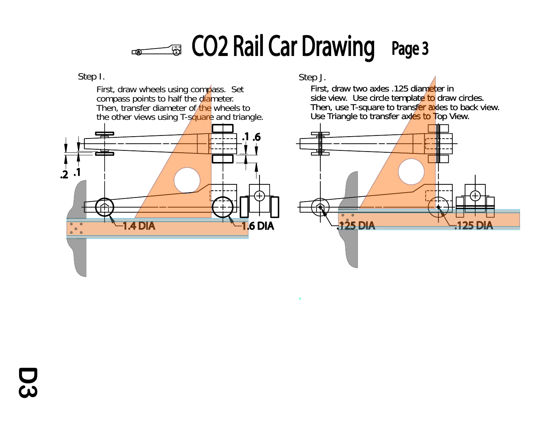### **EDECO2 Rail Car Drawing** Page 3  $\sqrt{2}$

**D3**

First, draw wheels using compass. Set . compass points to half the d<mark>ia</mark>meter Then, transfer diameter of the wheels to the other views using T-s<mark>quare</mark> and triangle p e dian<br>f⁄the \ mpa



Step I. Step J.

First, draw two axles .125 diameter in side view. Use circle templat<mark>e to</mark> draw circles Then, use T-square to transf<mark>er ax</mark>les to back view Use Triangle to transfer ax<mark>les to T</mark>op View insfer ax<br>xles to T

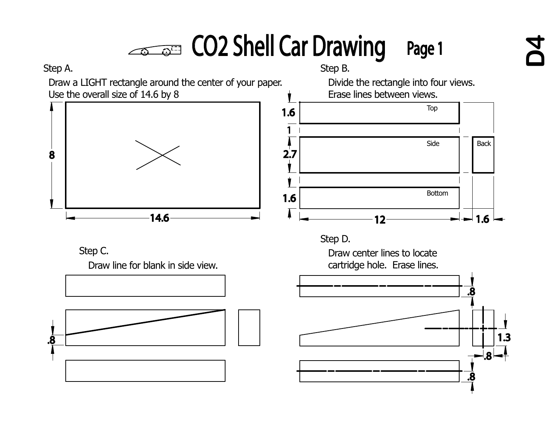# CO2 Shell Car Drawing Page 1

Step A. Step B.

**D4**

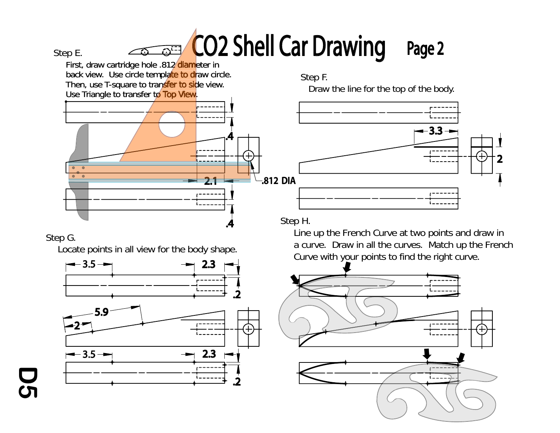# CO2 Shell Car Drawing Page 2

Step E.



Step F.

Draw the line for the top of the body.



Step H.

Step G.

**D5**

Locate points in all view for the body shape.



Line up the French Curve at two points and draw in a curve. Draw in all the curves. Match up the French Curve with your points to find the right curve.

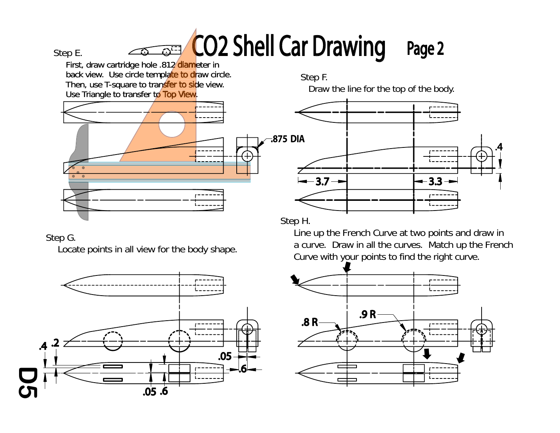# CO2 Shell Car Drawing Page 2

Step E.

First, draw cartridge hole .812⁄diameter ir back view. Use circle templ<mark>ate to dr</mark>aw circle Then, use T-square to transfer to side view Then, use T-square to transfer to sid<br>Use Triangle to transfer to Top View 12⁄ diame<br>ate to dr diame



Step F. Draw the line for the top of the body.



Step H.

## Step G.

Locate points in all view for the body shape.



Line up the French Curve at two points and draw in a curve. Draw in all the curves. Match up the French Curve with your points to find the right curve.